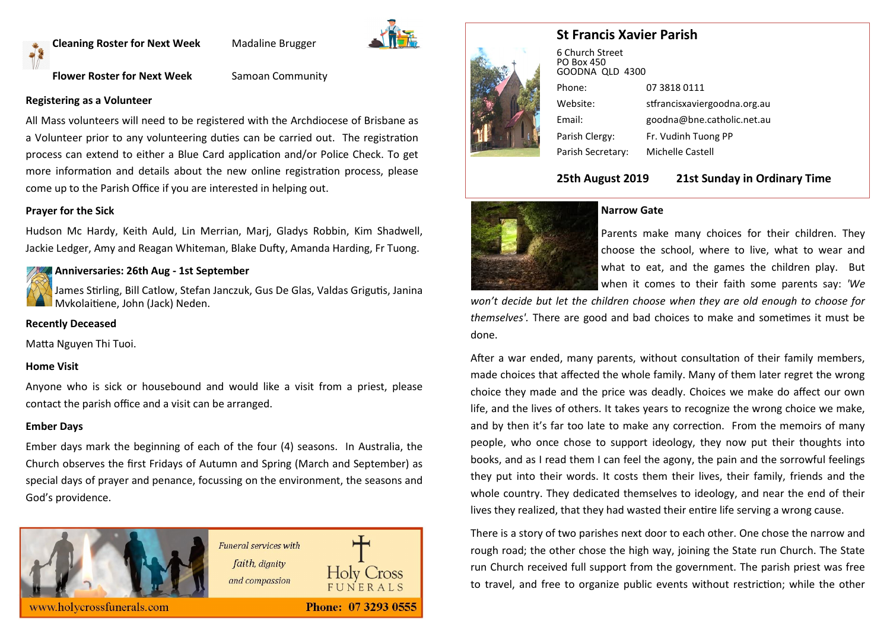**Cleaning Roster for Next Week Madaline Brugger** 



## **Flower Roster for Next Week** Samoan Community

## **Registering as a Volunteer**

All Mass volunteers will need to be registered with the Archdiocese of Brisbane as a Volunteer prior to any volunteering duties can be carried out. The registration process can extend to either a Blue Card application and/or Police Check. To get more information and details about the new online registration process, please come up to the Parish Office if you are interested in helping out.

## **Prayer for the Sick**

Hudson Mc Hardy, Keith Auld, Lin Merrian, Marj, Gladys Robbin, Kim Shadwell, Jackie Ledger, Amy and Reagan Whiteman, Blake Dufty, Amanda Harding, Fr Tuong.

## **Anniversaries: 26th Aug - 1st September**

James Stirling, Bill Catlow, Stefan Janczuk, Gus De Glas, Valdas Grigutis, Janina Mvkolaitiene, John (Jack) Neden.

## **Recently Deceased**

Matta Nguyen Thi Tuoi.

## **Home Visit**

Anyone who is sick or housebound and would like a visit from a priest, please contact the parish office and a visit can be arranged.

## **Ember Days**

Ember days mark the beginning of each of the four (4) seasons. In Australia, the Church observes the first Fridays of Autumn and Spring (March and September) as special days of prayer and penance, focussing on the environment, the seasons and God's providence.





# **St Francis Xavier Parish**

| 6 Church Street<br>PO Box 450<br>GOODNA OLD 4300 |                              |
|--------------------------------------------------|------------------------------|
| Phone:                                           | 07 3818 0111                 |
| Website:                                         | stfrancisxaviergoodna.org.au |
| Email:                                           | goodna@bne.catholic.net.au   |
| Parish Clergy:                                   | Fr. Vudinh Tuong PP          |
| Parish Secretary:                                | Michelle Castell             |

## **25th August 2019 21st Sunday in Ordinary Time**



## **Narrow Gate**

Parents make many choices for their children. They choose the school, where to live, what to wear and what to eat, and the games the children play. But when it comes to their faith some parents say: *'We* 

*won't decide but let the children choose when they are old enough to choose for themselves'.* There are good and bad choices to make and sometimes it must be done.

After a war ended, many parents, without consultation of their family members, made choices that affected the whole family. Many of them later regret the wrong choice they made and the price was deadly. Choices we make do affect our own life, and the lives of others. It takes years to recognize the wrong choice we make, and by then it's far too late to make any correction. From the memoirs of many people, who once chose to support ideology, they now put their thoughts into books, and as I read them I can feel the agony, the pain and the sorrowful feelings they put into their words. It costs them their lives, their family, friends and the whole country. They dedicated themselves to ideology, and near the end of their lives they realized, that they had wasted their entire life serving a wrong cause.

There is a story of two parishes next door to each other. One chose the narrow and rough road; the other chose the high way, joining the State run Church. The State run Church received full support from the government. The parish priest was free to travel, and free to organize public events without restriction; while the other